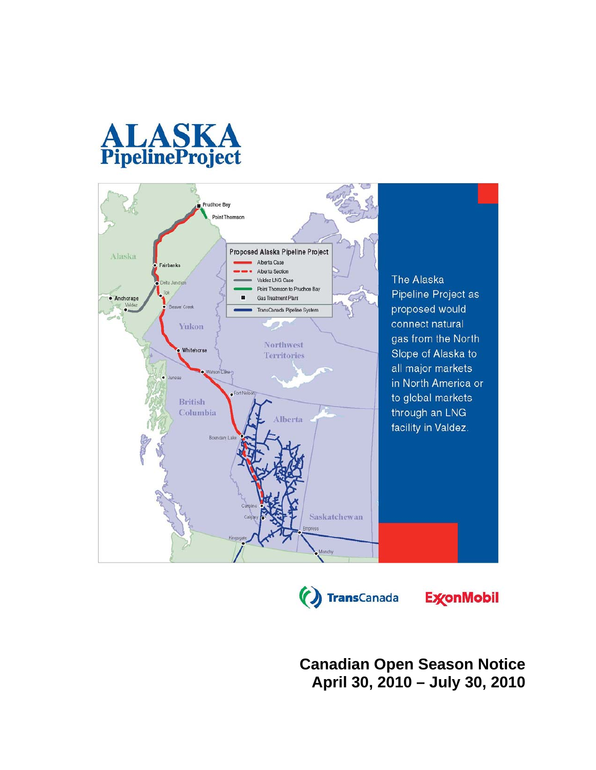





**ExconMobil** 

**Canadian Open Season Notice April 30, 2010 – July 30, 2010**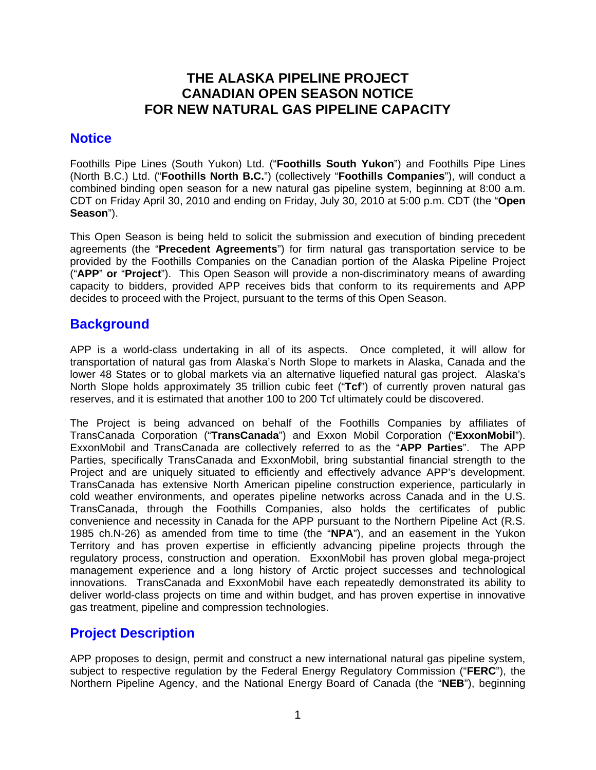# **THE ALASKA PIPELINE PROJECT CANADIAN OPEN SEASON NOTICE FOR NEW NATURAL GAS PIPELINE CAPACITY**

#### **Notice**

Foothills Pipe Lines (South Yukon) Ltd. ("**Foothills South Yukon**") and Foothills Pipe Lines (North B.C.) Ltd. ("**Foothills North B.C.**") (collectively "**Foothills Companies**"), will conduct a combined binding open season for a new natural gas pipeline system, beginning at 8:00 a.m. CDT on Friday April 30, 2010 and ending on Friday, July 30, 2010 at 5:00 p.m. CDT (the "**Open Season**").

This Open Season is being held to solicit the submission and execution of binding precedent agreements (the "**Precedent Agreements**") for firm natural gas transportation service to be provided by the Foothills Companies on the Canadian portion of the Alaska Pipeline Project ("**APP**" **or** "**Project**"). This Open Season will provide a non-discriminatory means of awarding capacity to bidders, provided APP receives bids that conform to its requirements and APP decides to proceed with the Project, pursuant to the terms of this Open Season.

## **Background**

APP is a world-class undertaking in all of its aspects. Once completed, it will allow for transportation of natural gas from Alaska's North Slope to markets in Alaska, Canada and the lower 48 States or to global markets via an alternative liquefied natural gas project. Alaska's North Slope holds approximately 35 trillion cubic feet ("**Tcf**") of currently proven natural gas reserves, and it is estimated that another 100 to 200 Tcf ultimately could be discovered.

The Project is being advanced on behalf of the Foothills Companies by affiliates of TransCanada Corporation ("**TransCanada**") and Exxon Mobil Corporation ("**ExxonMobil**"). ExxonMobil and TransCanada are collectively referred to as the "**APP Parties**". The APP Parties, specifically TransCanada and ExxonMobil, bring substantial financial strength to the Project and are uniquely situated to efficiently and effectively advance APP's development. TransCanada has extensive North American pipeline construction experience, particularly in cold weather environments, and operates pipeline networks across Canada and in the U.S. TransCanada, through the Foothills Companies, also holds the certificates of public convenience and necessity in Canada for the APP pursuant to the Northern Pipeline Act (R.S. 1985 ch.N-26) as amended from time to time (the "**NPA**"), and an easement in the Yukon Territory and has proven expertise in efficiently advancing pipeline projects through the regulatory process, construction and operation. ExxonMobil has proven global mega-project management experience and a long history of Arctic project successes and technological innovations. TransCanada and ExxonMobil have each repeatedly demonstrated its ability to deliver world-class projects on time and within budget, and has proven expertise in innovative gas treatment, pipeline and compression technologies.

# **Project Description**

APP proposes to design, permit and construct a new international natural gas pipeline system, subject to respective regulation by the Federal Energy Regulatory Commission ("**FERC**"), the Northern Pipeline Agency, and the National Energy Board of Canada (the "**NEB**"), beginning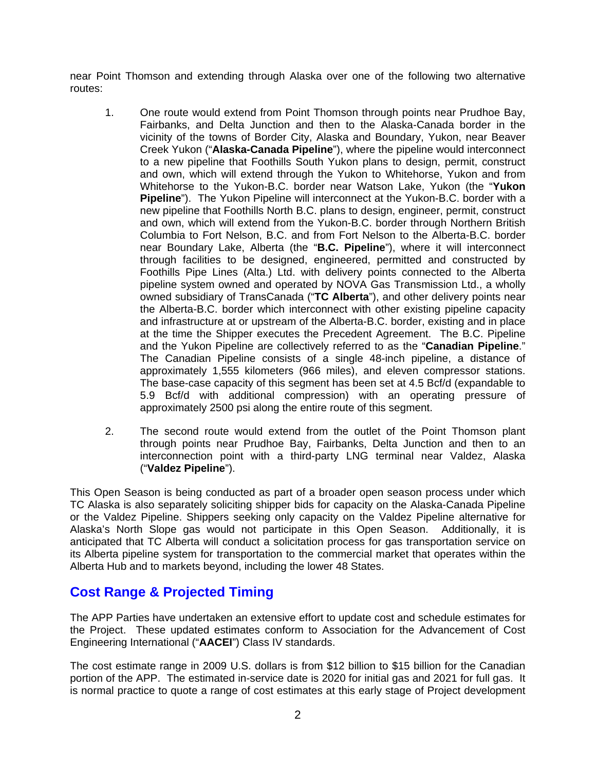near Point Thomson and extending through Alaska over one of the following two alternative routes:

- 1. One route would extend from Point Thomson through points near Prudhoe Bay, Fairbanks, and Delta Junction and then to the Alaska-Canada border in the vicinity of the towns of Border City, Alaska and Boundary, Yukon, near Beaver Creek Yukon ("**Alaska-Canada Pipeline**"), where the pipeline would interconnect to a new pipeline that Foothills South Yukon plans to design, permit, construct and own, which will extend through the Yukon to Whitehorse, Yukon and from Whitehorse to the Yukon-B.C. border near Watson Lake, Yukon (the "**Yukon Pipeline**"). The Yukon Pipeline will interconnect at the Yukon-B.C. border with a new pipeline that Foothills North B.C. plans to design, engineer, permit, construct and own, which will extend from the Yukon-B.C. border through Northern British Columbia to Fort Nelson, B.C. and from Fort Nelson to the Alberta-B.C. border near Boundary Lake, Alberta (the "**B.C. Pipeline**"), where it will interconnect through facilities to be designed, engineered, permitted and constructed by Foothills Pipe Lines (Alta.) Ltd. with delivery points connected to the Alberta pipeline system owned and operated by NOVA Gas Transmission Ltd., a wholly owned subsidiary of TransCanada ("**TC Alberta**"), and other delivery points near the Alberta-B.C. border which interconnect with other existing pipeline capacity and infrastructure at or upstream of the Alberta-B.C. border, existing and in place at the time the Shipper executes the Precedent Agreement. The B.C. Pipeline and the Yukon Pipeline are collectively referred to as the "**Canadian Pipeline**." The Canadian Pipeline consists of a single 48-inch pipeline, a distance of approximately 1,555 kilometers (966 miles), and eleven compressor stations. The base-case capacity of this segment has been set at 4.5 Bcf/d (expandable to 5.9 Bcf/d with additional compression) with an operating pressure of approximately 2500 psi along the entire route of this segment.
- 2. The second route would extend from the outlet of the Point Thomson plant through points near Prudhoe Bay, Fairbanks, Delta Junction and then to an interconnection point with a third-party LNG terminal near Valdez, Alaska ("**Valdez Pipeline**").

This Open Season is being conducted as part of a broader open season process under which TC Alaska is also separately soliciting shipper bids for capacity on the Alaska-Canada Pipeline or the Valdez Pipeline. Shippers seeking only capacity on the Valdez Pipeline alternative for Alaska's North Slope gas would not participate in this Open Season. Additionally, it is anticipated that TC Alberta will conduct a solicitation process for gas transportation service on its Alberta pipeline system for transportation to the commercial market that operates within the Alberta Hub and to markets beyond, including the lower 48 States.

## **Cost Range & Projected Timing**

The APP Parties have undertaken an extensive effort to update cost and schedule estimates for the Project. These updated estimates conform to Association for the Advancement of Cost Engineering International ("**AACEI**") Class IV standards.

The cost estimate range in 2009 U.S. dollars is from \$12 billion to \$15 billion for the Canadian portion of the APP. The estimated in-service date is 2020 for initial gas and 2021 for full gas. It is normal practice to quote a range of cost estimates at this early stage of Project development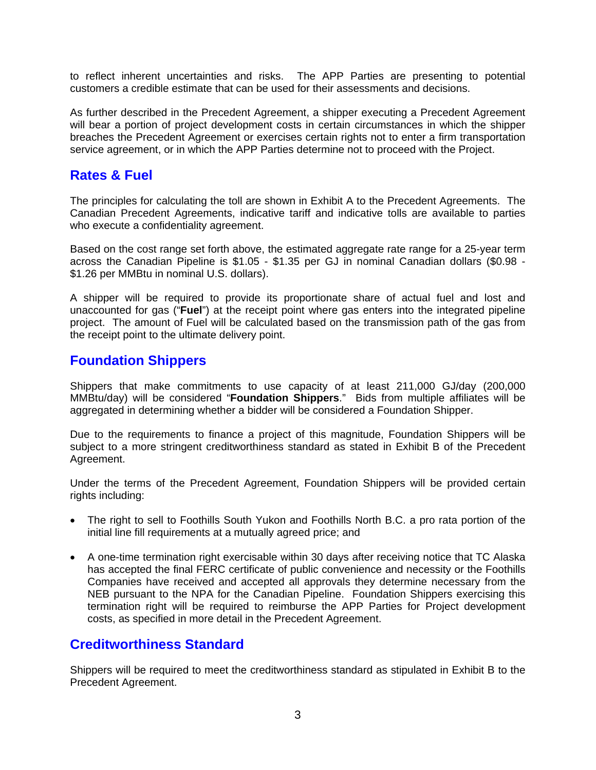to reflect inherent uncertainties and risks. The APP Parties are presenting to potential customers a credible estimate that can be used for their assessments and decisions.

As further described in the Precedent Agreement, a shipper executing a Precedent Agreement will bear a portion of project development costs in certain circumstances in which the shipper breaches the Precedent Agreement or exercises certain rights not to enter a firm transportation service agreement, or in which the APP Parties determine not to proceed with the Project.

# **Rates & Fuel**

The principles for calculating the toll are shown in Exhibit A to the Precedent Agreements. The Canadian Precedent Agreements, indicative tariff and indicative tolls are available to parties who execute a confidentiality agreement.

Based on the cost range set forth above, the estimated aggregate rate range for a 25-year term across the Canadian Pipeline is \$1.05 - \$1.35 per GJ in nominal Canadian dollars (\$0.98 - \$1.26 per MMBtu in nominal U.S. dollars).

A shipper will be required to provide its proportionate share of actual fuel and lost and unaccounted for gas ("**Fuel**") at the receipt point where gas enters into the integrated pipeline project. The amount of Fuel will be calculated based on the transmission path of the gas from the receipt point to the ultimate delivery point.

# **Foundation Shippers**

Shippers that make commitments to use capacity of at least 211,000 GJ/day (200,000 MMBtu/day) will be considered "**Foundation Shippers**." Bids from multiple affiliates will be aggregated in determining whether a bidder will be considered a Foundation Shipper.

Due to the requirements to finance a project of this magnitude, Foundation Shippers will be subject to a more stringent creditworthiness standard as stated in Exhibit B of the Precedent Agreement.

Under the terms of the Precedent Agreement, Foundation Shippers will be provided certain rights including:

- The right to sell to Foothills South Yukon and Foothills North B.C. a pro rata portion of the initial line fill requirements at a mutually agreed price; and
- A one-time termination right exercisable within 30 days after receiving notice that TC Alaska has accepted the final FERC certificate of public convenience and necessity or the Foothills Companies have received and accepted all approvals they determine necessary from the NEB pursuant to the NPA for the Canadian Pipeline. Foundation Shippers exercising this termination right will be required to reimburse the APP Parties for Project development costs, as specified in more detail in the Precedent Agreement.

## **Creditworthiness Standard**

Shippers will be required to meet the creditworthiness standard as stipulated in Exhibit B to the Precedent Agreement.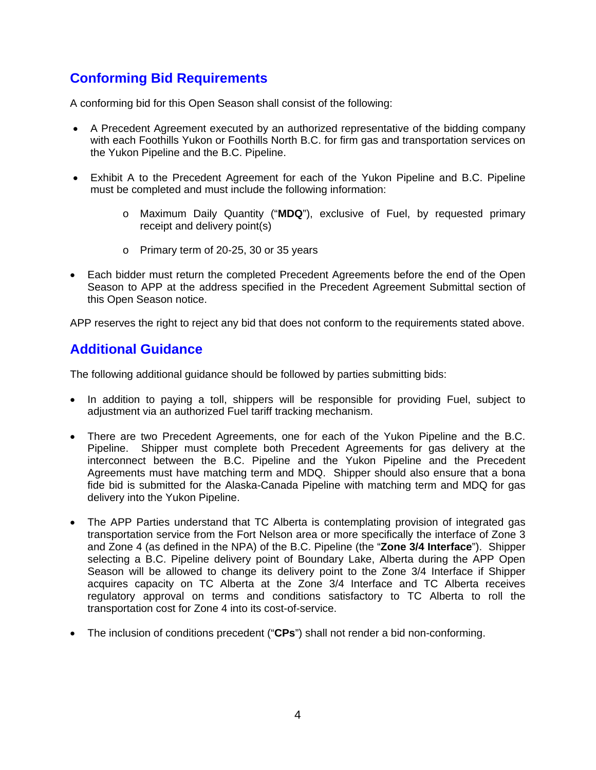# **Conforming Bid Requirements**

A conforming bid for this Open Season shall consist of the following:

- A Precedent Agreement executed by an authorized representative of the bidding company with each Foothills Yukon or Foothills North B.C. for firm gas and transportation services on the Yukon Pipeline and the B.C. Pipeline.
- Exhibit A to the Precedent Agreement for each of the Yukon Pipeline and B.C. Pipeline must be completed and must include the following information:
	- o Maximum Daily Quantity ("**MDQ**"), exclusive of Fuel, by requested primary receipt and delivery point(s)
	- o Primary term of 20-25, 30 or 35 years
- Each bidder must return the completed Precedent Agreements before the end of the Open Season to APP at the address specified in the Precedent Agreement Submittal section of this Open Season notice.

APP reserves the right to reject any bid that does not conform to the requirements stated above.

## **Additional Guidance**

The following additional guidance should be followed by parties submitting bids:

- In addition to paying a toll, shippers will be responsible for providing Fuel, subject to adjustment via an authorized Fuel tariff tracking mechanism.
- There are two Precedent Agreements, one for each of the Yukon Pipeline and the B.C. Pipeline. Shipper must complete both Precedent Agreements for gas delivery at the interconnect between the B.C. Pipeline and the Yukon Pipeline and the Precedent Agreements must have matching term and MDQ. Shipper should also ensure that a bona fide bid is submitted for the Alaska-Canada Pipeline with matching term and MDQ for gas delivery into the Yukon Pipeline.
- The APP Parties understand that TC Alberta is contemplating provision of integrated gas transportation service from the Fort Nelson area or more specifically the interface of Zone 3 and Zone 4 (as defined in the NPA) of the B.C. Pipeline (the "**Zone 3/4 Interface**"). Shipper selecting a B.C. Pipeline delivery point of Boundary Lake, Alberta during the APP Open Season will be allowed to change its delivery point to the Zone 3/4 Interface if Shipper acquires capacity on TC Alberta at the Zone 3/4 Interface and TC Alberta receives regulatory approval on terms and conditions satisfactory to TC Alberta to roll the transportation cost for Zone 4 into its cost-of-service.
- The inclusion of conditions precedent ("**CPs**") shall not render a bid non-conforming.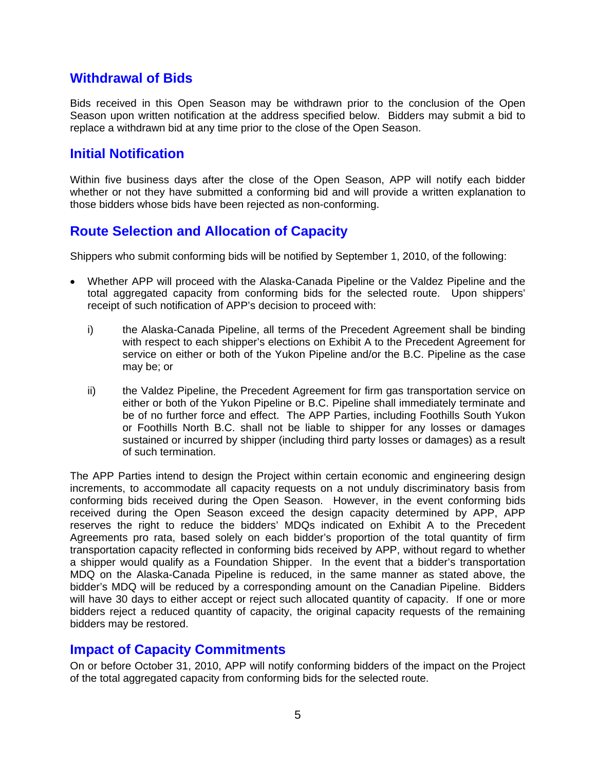#### **Withdrawal of Bids**

Bids received in this Open Season may be withdrawn prior to the conclusion of the Open Season upon written notification at the address specified below. Bidders may submit a bid to replace a withdrawn bid at any time prior to the close of the Open Season.

#### **Initial Notification**

Within five business days after the close of the Open Season, APP will notify each bidder whether or not they have submitted a conforming bid and will provide a written explanation to those bidders whose bids have been rejected as non-conforming.

# **Route Selection and Allocation of Capacity**

Shippers who submit conforming bids will be notified by September 1, 2010, of the following:

- Whether APP will proceed with the Alaska-Canada Pipeline or the Valdez Pipeline and the total aggregated capacity from conforming bids for the selected route. Upon shippers' receipt of such notification of APP's decision to proceed with:
	- i) the Alaska-Canada Pipeline, all terms of the Precedent Agreement shall be binding with respect to each shipper's elections on Exhibit A to the Precedent Agreement for service on either or both of the Yukon Pipeline and/or the B.C. Pipeline as the case may be; or
	- ii) the Valdez Pipeline, the Precedent Agreement for firm gas transportation service on either or both of the Yukon Pipeline or B.C. Pipeline shall immediately terminate and be of no further force and effect. The APP Parties, including Foothills South Yukon or Foothills North B.C. shall not be liable to shipper for any losses or damages sustained or incurred by shipper (including third party losses or damages) as a result of such termination.

The APP Parties intend to design the Project within certain economic and engineering design increments, to accommodate all capacity requests on a not unduly discriminatory basis from conforming bids received during the Open Season. However, in the event conforming bids received during the Open Season exceed the design capacity determined by APP, APP reserves the right to reduce the bidders' MDQs indicated on Exhibit A to the Precedent Agreements pro rata, based solely on each bidder's proportion of the total quantity of firm transportation capacity reflected in conforming bids received by APP, without regard to whether a shipper would qualify as a Foundation Shipper. In the event that a bidder's transportation MDQ on the Alaska-Canada Pipeline is reduced, in the same manner as stated above, the bidder's MDQ will be reduced by a corresponding amount on the Canadian Pipeline. Bidders will have 30 days to either accept or reject such allocated quantity of capacity. If one or more bidders reject a reduced quantity of capacity, the original capacity requests of the remaining bidders may be restored.

## **Impact of Capacity Commitments**

On or before October 31, 2010, APP will notify conforming bidders of the impact on the Project of the total aggregated capacity from conforming bids for the selected route.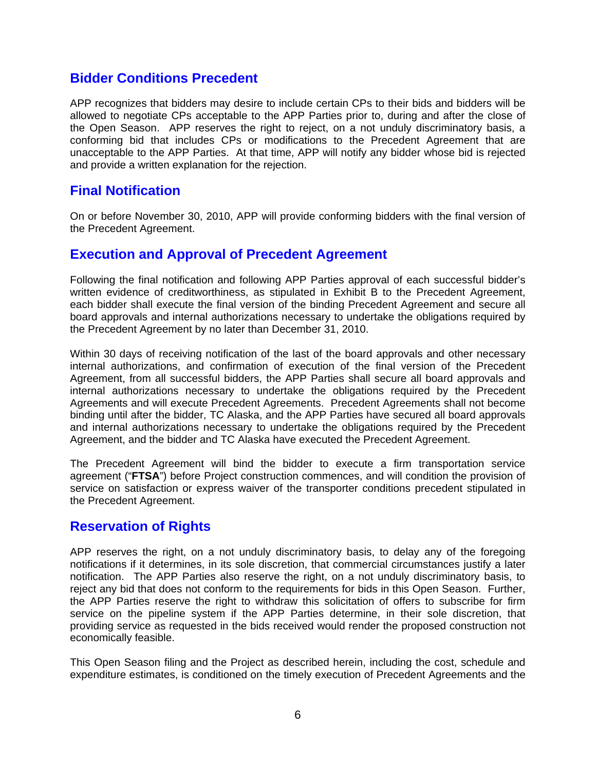#### **Bidder Conditions Precedent**

APP recognizes that bidders may desire to include certain CPs to their bids and bidders will be allowed to negotiate CPs acceptable to the APP Parties prior to, during and after the close of the Open Season. APP reserves the right to reject, on a not unduly discriminatory basis, a conforming bid that includes CPs or modifications to the Precedent Agreement that are unacceptable to the APP Parties. At that time, APP will notify any bidder whose bid is rejected and provide a written explanation for the rejection.

#### **Final Notification**

On or before November 30, 2010, APP will provide conforming bidders with the final version of the Precedent Agreement.

#### **Execution and Approval of Precedent Agreement**

Following the final notification and following APP Parties approval of each successful bidder's written evidence of creditworthiness, as stipulated in Exhibit B to the Precedent Agreement, each bidder shall execute the final version of the binding Precedent Agreement and secure all board approvals and internal authorizations necessary to undertake the obligations required by the Precedent Agreement by no later than December 31, 2010.

Within 30 days of receiving notification of the last of the board approvals and other necessary internal authorizations, and confirmation of execution of the final version of the Precedent Agreement, from all successful bidders, the APP Parties shall secure all board approvals and internal authorizations necessary to undertake the obligations required by the Precedent Agreements and will execute Precedent Agreements. Precedent Agreements shall not become binding until after the bidder, TC Alaska, and the APP Parties have secured all board approvals and internal authorizations necessary to undertake the obligations required by the Precedent Agreement, and the bidder and TC Alaska have executed the Precedent Agreement.

The Precedent Agreement will bind the bidder to execute a firm transportation service agreement ("**FTSA**") before Project construction commences, and will condition the provision of service on satisfaction or express waiver of the transporter conditions precedent stipulated in the Precedent Agreement.

## **Reservation of Rights**

APP reserves the right, on a not unduly discriminatory basis, to delay any of the foregoing notifications if it determines, in its sole discretion, that commercial circumstances justify a later notification. The APP Parties also reserve the right, on a not unduly discriminatory basis, to reject any bid that does not conform to the requirements for bids in this Open Season. Further, the APP Parties reserve the right to withdraw this solicitation of offers to subscribe for firm service on the pipeline system if the APP Parties determine, in their sole discretion, that providing service as requested in the bids received would render the proposed construction not economically feasible.

This Open Season filing and the Project as described herein, including the cost, schedule and expenditure estimates, is conditioned on the timely execution of Precedent Agreements and the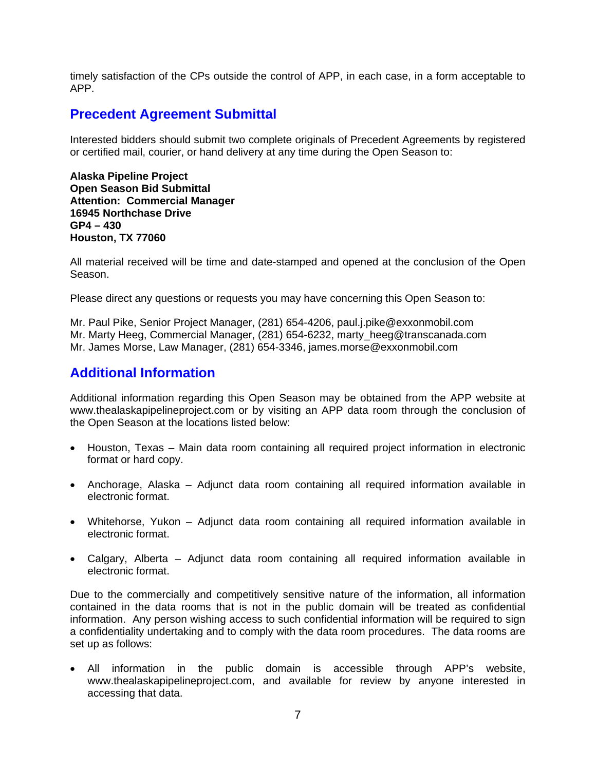timely satisfaction of the CPs outside the control of APP, in each case, in a form acceptable to APP.

#### **Precedent Agreement Submittal**

Interested bidders should submit two complete originals of Precedent Agreements by registered or certified mail, courier, or hand delivery at any time during the Open Season to:

**Alaska Pipeline Project Open Season Bid Submittal Attention: Commercial Manager 16945 Northchase Drive GP4 – 430 Houston, TX 77060** 

All material received will be time and date-stamped and opened at the conclusion of the Open Season.

Please direct any questions or requests you may have concerning this Open Season to:

Mr. Paul Pike, Senior Project Manager, (281) 654-4206, paul.j.pike@exxonmobil.com Mr. Marty Heeg, Commercial Manager, (281) 654-6232, marty heeg@transcanada.com Mr. James Morse, Law Manager, (281) 654-3346, james.morse@exxonmobil.com

#### **Additional Information**

Additional information regarding this Open Season may be obtained from the APP website at www.thealaskapipelineproject.com or by visiting an APP data room through the conclusion of the Open Season at the locations listed below:

- Houston, Texas Main data room containing all required project information in electronic format or hard copy.
- Anchorage, Alaska Adjunct data room containing all required information available in electronic format.
- Whitehorse, Yukon Adjunct data room containing all required information available in electronic format.
- Calgary, Alberta Adjunct data room containing all required information available in electronic format.

Due to the commercially and competitively sensitive nature of the information, all information contained in the data rooms that is not in the public domain will be treated as confidential information. Any person wishing access to such confidential information will be required to sign a confidentiality undertaking and to comply with the data room procedures. The data rooms are set up as follows:

• All information in the public domain is accessible through APP's website, www.thealaskapipelineproject.com, and available for review by anyone interested in accessing that data.